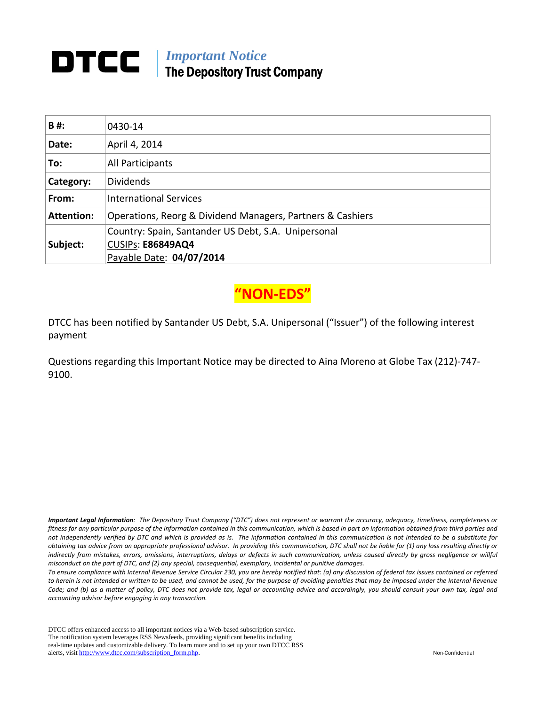# **DTCC** | *Important Notice* The Depository Trust Company

| B#:               | 0430-14                                                                  |  |  |
|-------------------|--------------------------------------------------------------------------|--|--|
| Date:             | April 4, 2014                                                            |  |  |
| To:               | All Participants                                                         |  |  |
| Category:         | <b>Dividends</b>                                                         |  |  |
| From:             | <b>International Services</b>                                            |  |  |
| <b>Attention:</b> | Operations, Reorg & Dividend Managers, Partners & Cashiers               |  |  |
| Subject:          | Country: Spain, Santander US Debt, S.A. Unipersonal<br>CUSIPs: E86849AQ4 |  |  |
|                   | Payable Date: 04/07/2014                                                 |  |  |

**"NON‐EDS"**

DTCC has been notified by Santander US Debt, S.A. Unipersonal ("Issuer") of the following interest payment

Questions regarding this Important Notice may be directed to Aina Moreno at Globe Tax (212)‐747‐ 9100.

Important Legal Information: The Depository Trust Company ("DTC") does not represent or warrant the accuracy, adequacy, timeliness, completeness or fitness for any particular purpose of the information contained in this communication, which is based in part on information obtained from third parties and not independently verified by DTC and which is provided as is. The information contained in this communication is not intended to be a substitute for obtaining tax advice from an appropriate professional advisor. In providing this communication, DTC shall not be liable for (1) any loss resulting directly or indirectly from mistakes, errors, omissions, interruptions, delays or defects in such communication, unless caused directly by gross negligence or willful *misconduct on the part of DTC, and (2) any special, consequential, exemplary, incidental or punitive damages.*

To ensure compliance with Internal Revenue Service Circular 230, you are hereby notified that: (a) any discussion of federal tax issues contained or referred to herein is not intended or written to be used, and cannot be used, for the purpose of avoiding penalties that may be imposed under the Internal Revenue Code; and (b) as a matter of policy, DTC does not provide tax, legal or accounting advice and accordingly, you should consult your own tax, legal and *accounting advisor before engaging in any transaction.*

DTCC offers enhanced access to all important notices via a Web-based subscription service. The notification system leverages RSS Newsfeeds, providing significant benefits including real-time updates and customizable delivery. To learn more and to set up your own DTCC RSS alerts, visit http://www.dtcc.com/subscription\_form.php. Non-Confidential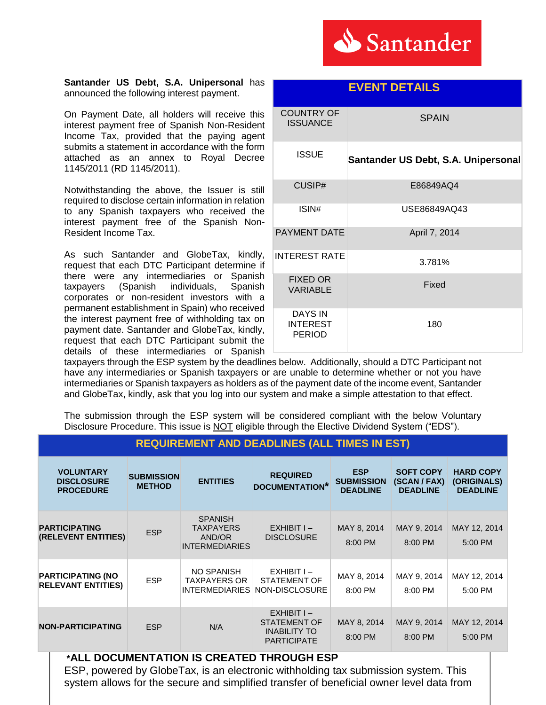

#### **Santander US Debt, S.A. Unipersonal** has announced the following interest payment.

On Payment Date, all holders will receive this interest payment free of Spanish Non-Resident Income Tax, provided that the paying agent submits a statement in accordance with the form attached as an annex to Royal Decree 1145/2011 (RD 1145/2011).

Notwithstanding the above, the Issuer is still required to disclose certain information in relation to any Spanish taxpayers who received the interest payment free of the Spanish Non-Resident Income Tax.

As such Santander and GlobeTax, kindly, request that each DTC Participant determine if there were any intermediaries or Spanish taxpayers (Spanish individuals, Spanish corporates or non-resident investors with a permanent establishment in Spain) who received the interest payment free of withholding tax on payment date. Santander and GlobeTax, kindly, request that each DTC Participant submit the details of these intermediaries or Spanish

| <b>COUNTRY OF</b><br><b>ISSUANCE</b>        | <b>SPAIN</b>                        |  |  |
|---------------------------------------------|-------------------------------------|--|--|
| <b>ISSUE</b>                                | Santander US Debt, S.A. Unipersonal |  |  |
| CUSIP#                                      | E86849AQ4                           |  |  |
| ISIN#                                       | USE86849AQ43                        |  |  |
| <b>PAYMENT DATE</b>                         | April 7, 2014                       |  |  |
| <b>INTEREST RATE</b>                        | 3.781%                              |  |  |
| <b>FIXED OR</b><br><b>VARIABLE</b>          | Fixed                               |  |  |
| DAYS IN<br><b>INTEREST</b><br><b>PERIOD</b> | 180                                 |  |  |

taxpayers through the ESP system by the deadlines below. Additionally, should a DTC Participant not have any intermediaries or Spanish taxpayers or are unable to determine whether or not you have intermediaries or Spanish taxpayers as holders as of the payment date of the income event, Santander and GlobeTax, kindly, ask that you log into our system and make a simple attestation to that effect.

The submission through the ESP system will be considered compliant with the below Voluntary Disclosure Procedure. This issue is NOT eligible through the Elective Dividend System ("EDS").

| <b>VOLUNTARY</b><br><b>DISCLOSURE</b><br><b>PROCEDURE</b> | <b>SUBMISSION</b><br><b>METHOD</b> | <b>ENTITIES</b>                                                       | <b>REQUIRED</b><br><b>DOCUMENTATION*</b>                                  | <b>ESP</b><br><b>SUBMISSION</b><br><b>DEADLINE</b> | <b>SOFT COPY</b><br>(SCAN / FAX)<br><b>DEADLINE</b> | <b>HARD COPY</b><br>(ORIGINALS)<br><b>DEADLINE</b> |
|-----------------------------------------------------------|------------------------------------|-----------------------------------------------------------------------|---------------------------------------------------------------------------|----------------------------------------------------|-----------------------------------------------------|----------------------------------------------------|
| <b>PARTICIPATING</b><br>(RELEVENT ENTITIES)               | <b>ESP</b>                         | <b>SPANISH</b><br><b>TAXPAYERS</b><br>AND/OR<br><b>INTERMEDIARIES</b> | $EXHIBITI -$<br><b>DISCLOSURE</b>                                         | MAY 8, 2014<br>8:00 PM                             | MAY 9, 2014<br>8:00 PM                              | MAY 12, 2014<br>5:00 PM                            |
| <b>PARTICIPATING (NO</b><br><b>RELEVANT ENTITIES)</b>     | <b>ESP</b>                         | NO SPANISH<br><b>TAXPAYERS OR</b><br><b>INTERMEDIARIES</b>            | $EXHIBITI -$<br>STATEMENT OF<br>NON-DISCLOSURE                            | MAY 8, 2014<br>8:00 PM                             | MAY 9, 2014<br>8:00 PM                              | MAY 12, 2014<br>5:00 PM                            |
| <b>NON-PARTICIPATING</b>                                  | <b>ESP</b>                         | N/A                                                                   | $EXHIBITI -$<br>STATEMENT OF<br><b>INABILITY TO</b><br><b>PARTICIPATE</b> | MAY 8, 2014<br>8:00 PM                             | MAY 9, 2014<br>8:00 PM                              | MAY 12, 2014<br>5:00 PM                            |

### **REQUIREMENT AND DEADLINES (ALL TIMES IN EST)**

### **\*ALL DOCUMENTATION IS CREATED THROUGH ESP**

ESP, powered by GlobeTax, is an electronic withholding tax submission system. This system allows for the secure and simplified transfer of beneficial owner level data from

## **EVENT DETAILS**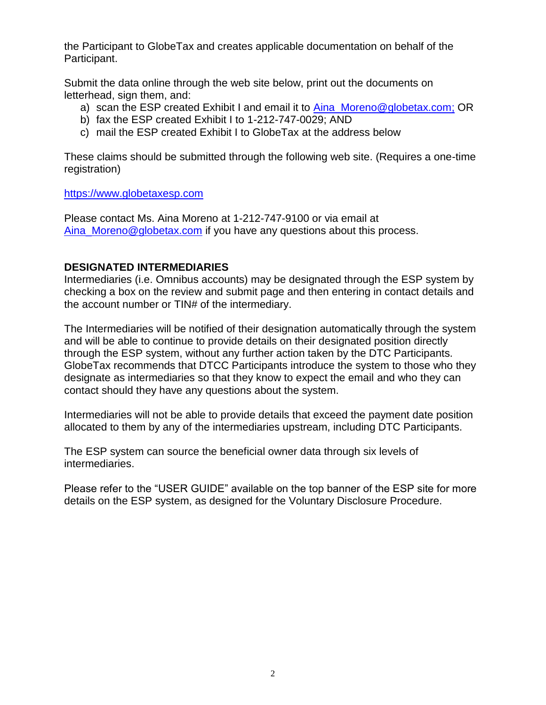the Participant to GlobeTax and creates applicable documentation on behalf of the Participant.

Submit the data online through the web site below, print out the documents on letterhead, sign them, and:

- a) scan the ESP created Exhibit I and email it to [Aina\\_Moreno@globetax.com;](mailto:Aina_Moreno@globetax.com) OR
- b) fax the ESP created Exhibit I to 1-212-747-0029; AND
- c) mail the ESP created Exhibit I to GlobeTax at the address below

These claims should be submitted through the following web site. (Requires a one-time registration)

#### [https://www.globetaxesp.com](https://www.globetaxesp.com/)

Please contact Ms. Aina Moreno at 1-212-747-9100 or via email at Aina Moreno@globetax.com if you have any questions about this process.

### **DESIGNATED INTERMEDIARIES**

Intermediaries (i.e. Omnibus accounts) may be designated through the ESP system by checking a box on the review and submit page and then entering in contact details and the account number or TIN# of the intermediary.

The Intermediaries will be notified of their designation automatically through the system and will be able to continue to provide details on their designated position directly through the ESP system, without any further action taken by the DTC Participants. GlobeTax recommends that DTCC Participants introduce the system to those who they designate as intermediaries so that they know to expect the email and who they can contact should they have any questions about the system.

Intermediaries will not be able to provide details that exceed the payment date position allocated to them by any of the intermediaries upstream, including DTC Participants.

The ESP system can source the beneficial owner data through six levels of intermediaries.

Please refer to the "USER GUIDE" available on the top banner of the ESP site for more details on the ESP system, as designed for the Voluntary Disclosure Procedure.